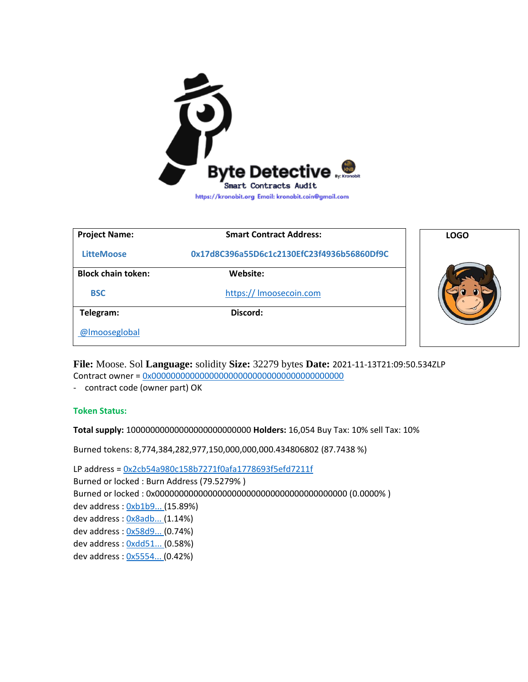

| <b>Project Name:</b>      | <b>Smart Contract Address:</b>             | <b>LOGO</b> |
|---------------------------|--------------------------------------------|-------------|
| <b>LitteMoose</b>         | 0x17d8C396a55D6c1c2130EfC23f4936b56860Df9C |             |
| <b>Block chain token:</b> | Website:                                   |             |
| <b>BSC</b>                | https:// Imoosecoin.com                    |             |
| Telegram:                 | Discord:                                   |             |
| @Imooseglobal             |                                            |             |

**File:** Moose. Sol **Language:** solidity **Size:** 32279 bytes **Date:** 2021-11-13T21:09:50.534ZLP Contract owner = [0x0000000000000000000000000000000000000000](https://bscscan.com/token/0x0000000000000000000000000000000000000000)

- contract code (owner part) OK

**Token Status:**

**Total supply:** 10000000000000000000000000 **Holders:** 16,054 Buy Tax: 10% sell Tax: 10%

Burned tokens: 8,774,384,282,977,150,000,000,000.434806802 (87.7438 %)

LP address = [0x2cb54a980c158b7271f0afa1778693f5efd7211f](https://bscscan.com/address/0x2cb54a980c158b7271f0afa1778693f5efd7211f) Burned or locked : Burn Address (79.5279% ) Burned or locked : 0x0000000000000000000000000000000000000000 (0.0000% ) dev address [: 0xb1b9... \(](https://bscscan.com/address/0xb1b9b4bbe8a92d535f5df2368e7fd2ecfb3a1950)15.89%) dev address [: 0x8adb... \(](https://bscscan.com/address/0x8adb4dfe55687ba190744e6407be921ff67b66b7)1.14%) dev address [: 0x58d9... \(](https://bscscan.com/address/0x58d93394e3f67ea948ec5a81cdcef91817d25a9f)0.74%) dev address [: 0xdd51... \(](https://bscscan.com/address/0xdd5141b31d99c2da1b46612cf75eeff6dae44f09)0.58%) dev address [: 0x5554... \(](https://bscscan.com/address/0x5554ff5d1aa5f2813b2c14ab740d9cf24a4c730d)0.42%)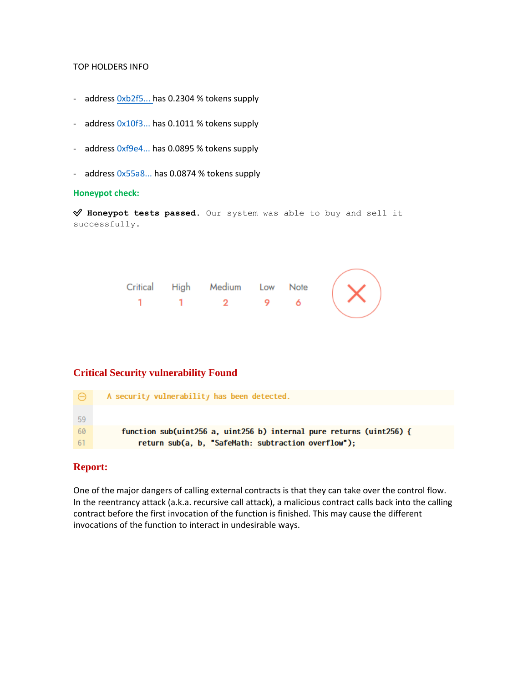### TOP HOLDERS INFO

- address  $0xb2f5...$  has 0.2304 % tokens supply
- addres[s 0x10f3... h](https://bscscan.com/address/0x10f352e32657f08464d1ade539bd6843beafd7ff)as 0.1011 % tokens supply
- address  $0x$ f9e4... has 0.0895 % tokens supply
- address  $0x55a8...$  has 0.0874 % tokens supply

#### **Honeypot check:**

✅ **Honeypot tests passed**. Our system was able to buy and sell it successfully.



# **Critical Security vulnerability Found**

|      | A security vulnerability has been detected.                          |
|------|----------------------------------------------------------------------|
| - 59 |                                                                      |
| -60  | function sub(uint256 a, uint256 b) internal pure returns (uint256) { |
| -61  | return sub(a, b, "SafeMath: subtraction overflow");                  |

# **Report:**

One of the major dangers of calling external contracts is that they can take over the control flow. In the reentrancy attack (a.k.a. recursive call attack), a malicious contract calls back into the calling contract before the first invocation of the function is finished. This may cause the different invocations of the function to interact in undesirable ways.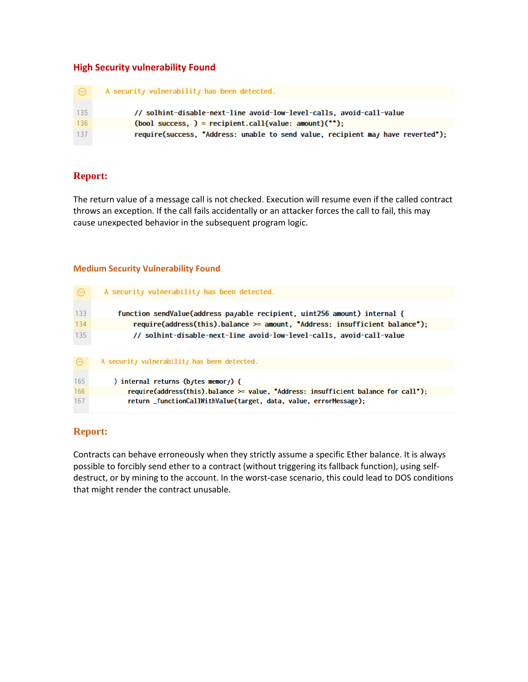# **High Security vulnerability Found**

| $\Theta$ | A security vulnerability has been detected.                                     |
|----------|---------------------------------------------------------------------------------|
| 135      | // solhint-disable-next-line avoid-low-level-calls, avoid-call-value            |
| -136     | $(bool$ success, $)$ = recipient.call{value: amount} $("")$ ;                   |
| 137      | require(success, "Address: unable to send value, recipient may have reverted"); |

# **Report:**

The return value of a message call is not checked. Execution will resume even if the called contract throws an exception. If the call fails accidentally or an attacker forces the call to fail, this may cause unexpected behavior in the subsequent program logic.

## **Medium Security Vulnerability Found**

| $\Theta$ | A security vulnerability has been detected.                                  |
|----------|------------------------------------------------------------------------------|
| 133      | function sendValue(address payable recipient, uint256 amount) internal {     |
| 134      | require(address(this).balance $>=$ amount, "Address: insufficient balance"); |
| 135      | // solhint-disable-next-line avoid-low-level-calls, avoid-call-value         |
|          |                                                                              |
|          |                                                                              |
|          | A security vulnerability has been detected.                                  |

| 165 | ) internal returns (bytes memory) {                                                   |
|-----|---------------------------------------------------------------------------------------|
| 166 | require(address(this).balance $\ge$ value, "Address: insufficient balance for call"); |
| 167 | return functionCallWithValue(target, data, value, errorMessage);                      |
|     |                                                                                       |

# **Report:**

Contracts can behave erroneously when they strictly assume a specific Ether balance. It is always possible to forcibly send ether to a contract (without triggering its fallback function), using selfdestruct, or by mining to the account. In the worst-case scenario, this could lead to DOS conditions that might render the contract unusable.